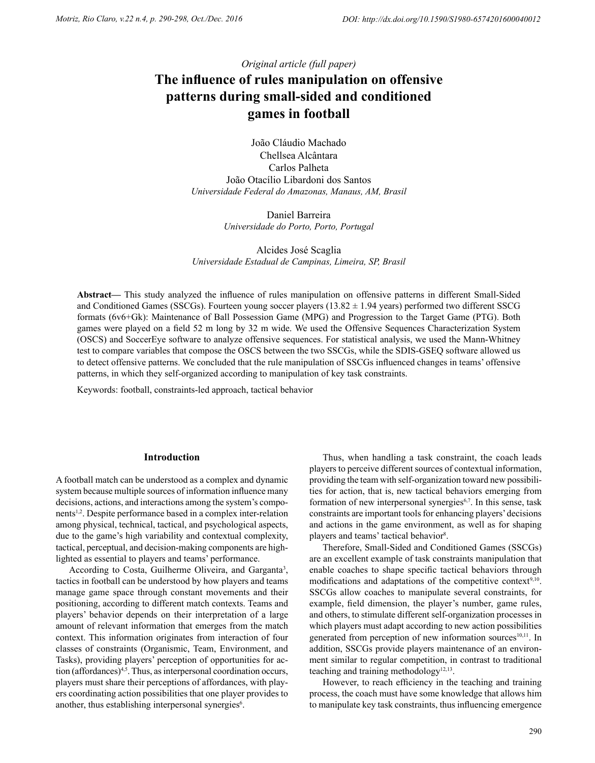*Original article (full paper)*

# **The influence of rules manipulation on offensive patterns during small-sided and conditioned games in football**

João Cláudio Machado Chellsea Alcântara Carlos Palheta João Otacílio Libardoni dos Santos *Universidade Federal do Amazonas, Manaus, AM, Brasil*

> Daniel Barreira *Universidade do Porto, Porto, Portugal*

Alcides José Scaglia *Universidade Estadual de Campinas, Limeira, SP, Brasil*

**Abstract––** This study analyzed the influence of rules manipulation on offensive patterns in different Small-Sided and Conditioned Games (SSCGs). Fourteen young soccer players (13.82  $\pm$  1.94 years) performed two different SSCG formats (6v6+Gk): Maintenance of Ball Possession Game (MPG) and Progression to the Target Game (PTG). Both games were played on a field 52 m long by 32 m wide. We used the Offensive Sequences Characterization System (OSCS) and SoccerEye software to analyze offensive sequences. For statistical analysis, we used the Mann-Whitney test to compare variables that compose the OSCS between the two SSCGs, while the SDIS-GSEQ software allowed us to detect offensive patterns. We concluded that the rule manipulation of SSCGs influenced changes in teams' offensive patterns, in which they self-organized according to manipulation of key task constraints.

Keywords: football, constraints-led approach, tactical behavior

## **Introduction**

A football match can be understood as a complex and dynamic system because multiple sources of information influence many decisions, actions, and interactions among the system's components1,2. Despite performance based in a complex inter-relation among physical, technical, tactical, and psychological aspects, due to the game's high variability and contextual complexity, tactical, perceptual, and decision-making components are highlighted as essential to players and teams' performance.

According to Costa, Guilherme Oliveira, and Garganta<sup>3</sup>, tactics in football can be understood by how players and teams manage game space through constant movements and their positioning, according to different match contexts. Teams and players' behavior depends on their interpretation of a large amount of relevant information that emerges from the match context. This information originates from interaction of four classes of constraints (Organismic, Team, Environment, and Tasks), providing players' perception of opportunities for action (affordances)<sup>4,5</sup>. Thus, as interpersonal coordination occurs, players must share their perceptions of affordances, with players coordinating action possibilities that one player provides to another, thus establishing interpersonal synergies<sup>6</sup>.

Thus, when handling a task constraint, the coach leads players to perceive different sources of contextual information, providing the team with self-organization toward new possibilities for action, that is, new tactical behaviors emerging from formation of new interpersonal synergies<sup>6,7</sup>. In this sense, task constraints are important tools for enhancing players' decisions and actions in the game environment, as well as for shaping players and teams' tactical behavior<sup>8</sup>.

Therefore, Small-Sided and Conditioned Games (SSCGs) are an excellent example of task constraints manipulation that enable coaches to shape specific tactical behaviors through modifications and adaptations of the competitive context $9,10$ . SSCGs allow coaches to manipulate several constraints, for example, field dimension, the player's number, game rules, and others, to stimulate different self-organization processes in which players must adapt according to new action possibilities generated from perception of new information sources<sup>10,11</sup>. In addition, SSCGs provide players maintenance of an environment similar to regular competition, in contrast to traditional teaching and training methodology<sup>12,13</sup>.

However, to reach efficiency in the teaching and training process, the coach must have some knowledge that allows him to manipulate key task constraints, thus influencing emergence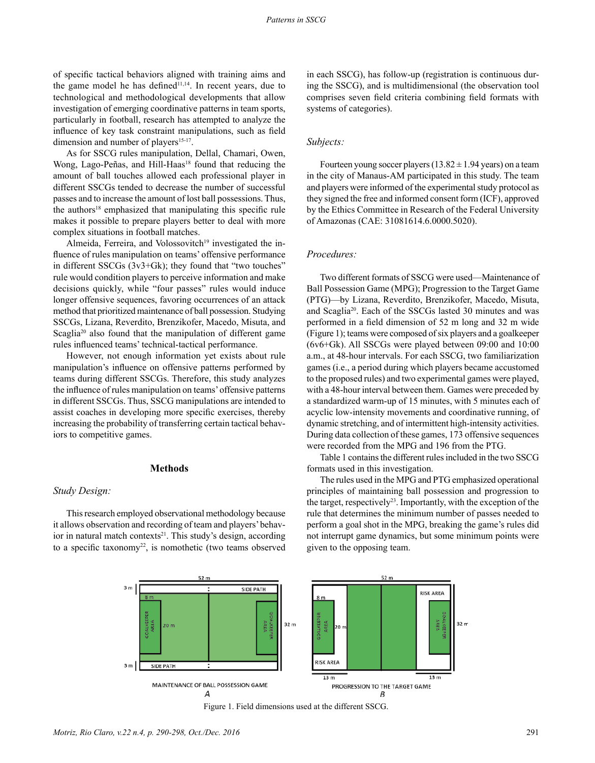of specific tactical behaviors aligned with training aims and the game model he has defined $11,14$ . In recent years, due to technological and methodological developments that allow investigation of emerging coordinative patterns in team sports, particularly in football, research has attempted to analyze the influence of key task constraint manipulations, such as field dimension and number of players<sup>15-17</sup>.

As for SSCG rules manipulation, Dellal, Chamari, Owen, Wong, Lago-Peñas, and Hill-Haas<sup>18</sup> found that reducing the amount of ball touches allowed each professional player in different SSCGs tended to decrease the number of successful passes and to increase the amount of lost ball possessions. Thus, the authors<sup>18</sup> emphasized that manipulating this specific rule makes it possible to prepare players better to deal with more complex situations in football matches.

Almeida, Ferreira, and Volossovitch<sup>19</sup> investigated the influence of rules manipulation on teams' offensive performance in different SSCGs (3v3+Gk); they found that "two touches" rule would condition players to perceive information and make decisions quickly, while "four passes" rules would induce longer offensive sequences, favoring occurrences of an attack method that prioritized maintenance of ball possession. Studying SSCGs, Lizana, Reverdito, Brenzikofer, Macedo, Misuta, and Scaglia<sup>20</sup> also found that the manipulation of different game rules influenced teams' technical-tactical performance.

However, not enough information yet exists about rule manipulation's influence on offensive patterns performed by teams during different SSCGs. Therefore, this study analyzes the influence of rules manipulation on teams' offensive patterns in different SSCGs. Thus, SSCG manipulations are intended to assist coaches in developing more specific exercises, thereby increasing the probability of transferring certain tactical behaviors to competitive games.

## **Methods**

## *Study Design:*

This research employed observational methodology because it allows observation and recording of team and players' behavior in natural match contexts<sup>21</sup>. This study's design, according to a specific taxonomy<sup>22</sup>, is nomothetic (two teams observed in each SSCG), has follow-up (registration is continuous during the SSCG), and is multidimensional (the observation tool comprises seven field criteria combining field formats with systems of categories).

#### *Subjects:*

Fourteen young soccer players ( $13.82 \pm 1.94$  years) on a team in the city of Manaus-AM participated in this study. The team and players were informed of the experimental study protocol as they signed the free and informed consent form (ICF), approved by the Ethics Committee in Research of the Federal University of Amazonas (CAE: 31081614.6.0000.5020).

#### *Procedures:*

Two different formats of SSCG were used—Maintenance of Ball Possession Game (MPG); Progression to the Target Game (PTG)—by Lizana, Reverdito, Brenzikofer, Macedo, Misuta, and Scaglia20. Each of the SSCGs lasted 30 minutes and was performed in a field dimension of 52 m long and 32 m wide (Figure 1); teams were composed of six players and a goalkeeper (6v6+Gk). All SSCGs were played between 09:00 and 10:00 a.m., at 48-hour intervals. For each SSCG, two familiarization games (i.e., a period during which players became accustomed to the proposed rules) and two experimental games were played, with a 48-hour interval between them. Games were preceded by a standardized warm-up of 15 minutes, with 5 minutes each of acyclic low-intensity movements and coordinative running, of dynamic stretching, and of intermittent high-intensity activities. During data collection of these games, 173 offensive sequences were recorded from the MPG and 196 from the PTG.

Table 1 contains the different rules included in the two SSCG formats used in this investigation.

The rules used in the MPG and PTG emphasized operational principles of maintaining ball possession and progression to the target, respectively<sup>23</sup>. Importantly, with the exception of the rule that determines the minimum number of passes needed to perform a goal shot in the MPG, breaking the game's rules did not interrupt game dynamics, but some minimum points were given to the opposing team.



Figure 1. Field dimensions used at the different SSCG.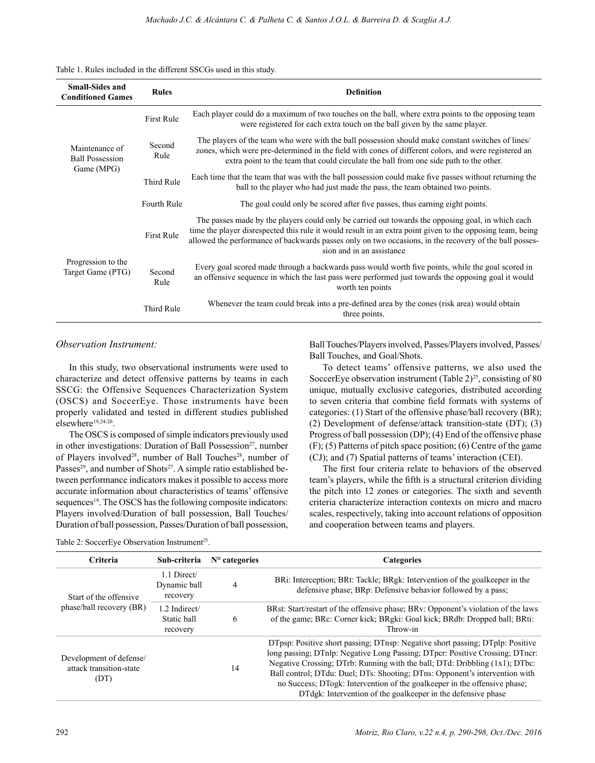#### Table 1. Rules included in the different SSCGs used in this study.

| <b>Small-Sides and</b><br><b>Conditioned Games</b>     | <b>Rules</b>      | <b>Definition</b>                                                                                                                                                                                                                                                                                                                                      |  |  |
|--------------------------------------------------------|-------------------|--------------------------------------------------------------------------------------------------------------------------------------------------------------------------------------------------------------------------------------------------------------------------------------------------------------------------------------------------------|--|--|
| Maintenance of<br><b>Ball Possession</b><br>Game (MPG) | <b>First Rule</b> | Each player could do a maximum of two touches on the ball, where extra points to the opposing team<br>were registered for each extra touch on the ball given by the same player.                                                                                                                                                                       |  |  |
|                                                        | Second<br>Rule    | The players of the team who were with the ball possession should make constant switches of lines/<br>zones, which were pre-determined in the field with cones of different colors, and were registered an<br>extra point to the team that could circulate the ball from one side path to the other.                                                    |  |  |
|                                                        | <b>Third Rule</b> | Each time that the team that was with the ball possession could make five passes without returning the<br>ball to the player who had just made the pass, the team obtained two points.                                                                                                                                                                 |  |  |
|                                                        | Fourth Rule       | The goal could only be scored after five passes, thus earning eight points.                                                                                                                                                                                                                                                                            |  |  |
| Progression to the<br>Target Game (PTG)                | <b>First Rule</b> | The passes made by the players could only be carried out towards the opposing goal, in which each<br>time the player disrespected this rule it would result in an extra point given to the opposing team, being<br>allowed the performance of backwards passes only on two occasions, in the recovery of the ball posses-<br>sion and in an assistance |  |  |
|                                                        | Second<br>Rule    | Every goal scored made through a backwards pass would worth five points, while the goal scored in<br>an offensive sequence in which the last pass were performed just towards the opposing goal it would<br>worth ten points                                                                                                                           |  |  |
|                                                        | <b>Third Rule</b> | Whenever the team could break into a pre-defined area by the cones (risk area) would obtain<br>three points.                                                                                                                                                                                                                                           |  |  |

## *Observation Instrument:*

In this study, two observational instruments were used to characterize and detect offensive patterns by teams in each SSCG: the Offensive Sequences Characterization System (OSCS) and SoccerEye. Those instruments have been properly validated and tested in different studies published elsewhere<sup>19,24-26</sup>.

The OSCS is composed of simple indicators previously used in other investigations: Duration of Ball Possession<sup>27</sup>, number of Players involved<sup>28</sup>, number of Ball Touches<sup>28</sup>, number of Passes<sup>29</sup>, and number of Shots<sup>27</sup>. A simple ratio established between performance indicators makes it possible to access more accurate information about characteristics of teams' offensive sequences<sup>19</sup>. The OSCS has the following composite indicators: Players involved/Duration of ball possession, Ball Touches/ Duration of ball possession, Passes/Duration of ball possession, Ball Touches/Players involved, Passes/Players involved, Passes/ Ball Touches, and Goal/Shots.

To detect teams' offensive patterns, we also used the SoccerEye observation instrument (Table  $2^{25}$ , consisting of 80 unique, mutually exclusive categories, distributed according to seven criteria that combine field formats with systems of categories: (1) Start of the offensive phase/ball recovery (BR); (2) Development of defense/attack transition-state (DT); (3) Progress of ball possession (DP); (4) End of the offensive phase (F); (5) Patterns of pitch space position; (6) Centre of the game (CJ); and (7) Spatial patterns of teams' interaction (CEI).

The first four criteria relate to behaviors of the observed team's players, while the fifth is a structural criterion dividing the pitch into 12 zones or categories. The sixth and seventh criteria characterize interaction contexts on micro and macro scales, respectively, taking into account relations of opposition and cooperation between teams and players.

| Criteria                                                   | Sub-criteria                             | $No$ categories | <b>Categories</b>                                                                                                                                                                                                                                                                                                                                                                                                                                                        |  |  |  |
|------------------------------------------------------------|------------------------------------------|-----------------|--------------------------------------------------------------------------------------------------------------------------------------------------------------------------------------------------------------------------------------------------------------------------------------------------------------------------------------------------------------------------------------------------------------------------------------------------------------------------|--|--|--|
| Start of the offensive                                     | 1.1 Direct/<br>Dynamic ball<br>recovery  | 4               | BRi: Interception; BRt: Tackle; BRgk: Intervention of the goalkeeper in the<br>defensive phase; BRp: Defensive behavior followed by a pass;                                                                                                                                                                                                                                                                                                                              |  |  |  |
| phase/ball recovery (BR)                                   | 1.2 Indirect/<br>Static ball<br>recovery | 6               | BRst: Start/restart of the offensive phase; BRv: Opponent's violation of the laws<br>of the game; BRc: Corner kick; BRgki: Goal kick; BRdb: Dropped ball; BRti:<br>Throw-in<br>14                                                                                                                                                                                                                                                                                        |  |  |  |
| Development of defense/<br>attack transition-state<br>(DT) |                                          |                 | DTpsp: Positive short passing; DTnsp: Negative short passing; DTplp: Positive<br>long passing; DTnlp: Negative Long Passing; DTpcr: Positive Crossing; DTncr:<br>Negative Crossing; DTrb: Running with the ball; DTd: Dribbling (1x1); DTbc:<br>Ball control; DTdu: Duel; DTs: Shooting; DTns: Opponent's intervention with<br>no Success; DTogk: Intervention of the goalkeeper in the offensive phase;<br>DTdgk: Intervention of the goalkeeper in the defensive phase |  |  |  |

| Table 2: SoccerEye Observation Instrument <sup>25</sup> . |  |  |
|-----------------------------------------------------------|--|--|
|-----------------------------------------------------------|--|--|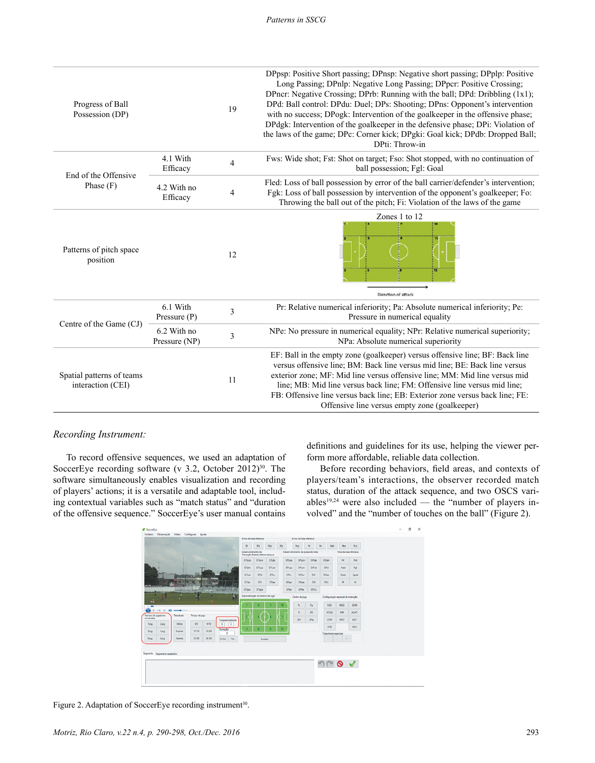| Progress of Ball<br>Possession (DP)            |                              | 19                       | DPpsp: Positive Short passing; DPnsp: Negative short passing; DPplp: Positive<br>Long Passing; DPnlp: Negative Long Passing; DPpcr: Positive Crossing;<br>DPncr: Negative Crossing; DPrb: Running with the ball; DPd: Dribbling (1x1);<br>DPd: Ball control: DPdu: Duel; DPs: Shooting; DPns: Opponent's intervention<br>with no success; DPogk: Intervention of the goalkeeper in the offensive phase;<br>DPdgk: Intervention of the goalkeeper in the defensive phase; DPi: Violation of<br>the laws of the game; DPc: Corner kick; DPgki: Goal kick; DPdb: Dropped Ball;<br>DPti: Throw-in |
|------------------------------------------------|------------------------------|--------------------------|-----------------------------------------------------------------------------------------------------------------------------------------------------------------------------------------------------------------------------------------------------------------------------------------------------------------------------------------------------------------------------------------------------------------------------------------------------------------------------------------------------------------------------------------------------------------------------------------------|
| End of the Offensive                           | 4.1 With<br>Efficacy         | $\overline{4}$           | Fws: Wide shot; Fst: Shot on target; Fso: Shot stopped, with no continuation of<br>ball possession; Fgl: Goal                                                                                                                                                                                                                                                                                                                                                                                                                                                                                 |
| Phase $(F)$                                    | 4.2 With no<br>Efficacy      | $\overline{\mathcal{A}}$ | Fled: Loss of ball possession by error of the ball carrier/defender's intervention;<br>Fgk: Loss of ball possession by intervention of the opponent's goalkeeper; Fo:<br>Throwing the ball out of the pitch; Fi: Violation of the laws of the game                                                                                                                                                                                                                                                                                                                                            |
| Patterns of pitch space<br>position            |                              | 12                       | Zones 1 to 12<br>Direction of attack                                                                                                                                                                                                                                                                                                                                                                                                                                                                                                                                                          |
| Centre of the Game (CJ)                        | 6.1 With<br>Pressure $(P)$   | 3                        | Pr: Relative numerical inferiority; Pa: Absolute numerical inferiority; Pe:<br>Pressure in numerical equality                                                                                                                                                                                                                                                                                                                                                                                                                                                                                 |
|                                                | 6.2 With no<br>Pressure (NP) | 3                        | NPe: No pressure in numerical equality; NPr: Relative numerical superiority;<br>NPa: Absolute numerical superiority<br>Offensive line versus empty zone (goalkeeper)                                                                                                                                                                                                                                                                                                                                                                                                                          |
| Spatial patterns of teams<br>interaction (CEI) |                              | 11                       | EF: Ball in the empty zone (goalkeeper) versus offensive line; BF: Back line<br>versus offensive line; BM: Back line versus mid line; BE: Back line versus<br>exterior zone; MF: Mid line versus offensive line; MM: Mid line versus mid<br>line; MB: Mid line versus back line; FM: Offensive line versus mid line;<br>FB: Offensive line versus back line; EB: Exterior zone versus back line; FE:                                                                                                                                                                                          |

## *Recording Instrument:*

To record offensive sequences, we used an adaptation of SoccerEye recording software (v 3.2, October 2012)<sup>30</sup>. The software simultaneously enables visualization and recording of players' actions; it is a versatile and adaptable tool, including contextual variables such as "match status" and "duration of the offensive sequence." SoccerEye's user manual contains

definitions and guidelines for its use, helping the viewer perform more affordable, reliable data collection.

Before recording behaviors, field areas, and contexts of players/team's interactions, the observer recorded match status, duration of the attack sequence, and two OSCS variables $19,24$  were also included — the "number of players involved" and the "number of touches on the ball" (Figure 2).



Figure 2. Adaptation of SoccerEye recording instrument<sup>30</sup>.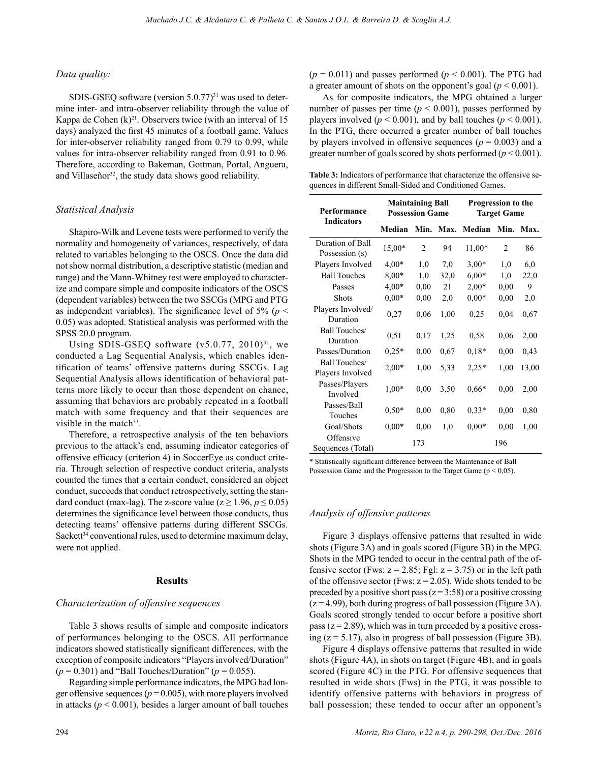## *Data quality:*

SDIS-GSEQ software (version  $5.0.77$ )<sup>31</sup> was used to determine inter- and intra-observer reliability through the value of Kappa de Cohen  $(k)^{21}$ . Observers twice (with an interval of 15 days) analyzed the first 45 minutes of a football game. Values for inter-observer reliability ranged from 0.79 to 0.99, while values for intra-observer reliability ranged from 0.91 to 0.96. Therefore, according to Bakeman, Gottman, Portal, Anguera, and Villaseñor<sup>32</sup>, the study data shows good reliability.

## *Statistical Analysis*

Shapiro-Wilk and Levene tests were performed to verify the normality and homogeneity of variances, respectively, of data related to variables belonging to the OSCS. Once the data did not show normal distribution, a descriptive statistic (median and range) and the Mann-Whitney test were employed to characterize and compare simple and composite indicators of the OSCS (dependent variables) between the two SSCGs (MPG and PTG as independent variables). The significance level of  $5\%$  ( $p <$ 0.05) was adopted. Statistical analysis was performed with the SPSS 20.0 program.

Using SDIS-GSEQ software  $(v5.0.77, 2010)^{31}$ , we conducted a Lag Sequential Analysis, which enables identification of teams' offensive patterns during SSCGs. Lag Sequential Analysis allows identification of behavioral patterns more likely to occur than those dependent on chance, assuming that behaviors are probably repeated in a football match with some frequency and that their sequences are visible in the match $33$ .

Therefore, a retrospective analysis of the ten behaviors previous to the attack's end, assuming indicator categories of offensive efficacy (criterion 4) in SoccerEye as conduct criteria. Through selection of respective conduct criteria, analysts counted the times that a certain conduct, considered an object conduct, succeeds that conduct retrospectively, setting the standard conduct (max-lag). The z-score value ( $z \ge 1.96$ ,  $p \le 0.05$ ) determines the significance level between those conducts, thus detecting teams' offensive patterns during different SSCGs. Sackett<sup>34</sup> conventional rules, used to determine maximum delay, were not applied.

#### **Results**

## *Characterization of offensive sequences*

Table 3 shows results of simple and composite indicators of performances belonging to the OSCS. All performance indicators showed statistically significant differences, with the exception of composite indicators "Players involved/Duration"  $(p = 0.301)$  and "Ball Touches/Duration"  $(p = 0.055)$ .

Regarding simple performance indicators, the MPG had longer offensive sequences ( $p = 0.005$ ), with more players involved in attacks ( $p < 0.001$ ), besides a larger amount of ball touches  $(p = 0.011)$  and passes performed  $(p < 0.001)$ . The PTG had a greater amount of shots on the opponent's goal ( $p < 0.001$ ).

As for composite indicators, the MPG obtained a larger number of passes per time ( $p < 0.001$ ), passes performed by players involved ( $p < 0.001$ ), and by ball touches ( $p < 0.001$ ). In the PTG, there occurred a greater number of ball touches by players involved in offensive sequences ( $p = 0.003$ ) and a greater number of goals scored by shots performed (*p* < 0.001).

**Table 3:** Indicators of performance that characterize the offensive sequences in different Small-Sided and Conditioned Games.

| Performance<br><b>Indicators</b>   | <b>Maintaining Ball</b><br><b>Possession Game</b> |                |      | Progression to the<br><b>Target Game</b> |                |       |
|------------------------------------|---------------------------------------------------|----------------|------|------------------------------------------|----------------|-------|
|                                    | Median                                            | Min.           | Max. | Median                                   | Min.           | Max.  |
| Duration of Ball<br>Possession (s) | 15,00*                                            | $\overline{2}$ | 94   | $11,00*$                                 | $\overline{c}$ | 86    |
| Players Involved                   | $4,00*$                                           | 1,0            | 7,0  | $3,00*$                                  | 1,0            | 6,0   |
| <b>Ball Touches</b>                | $8,00*$                                           | 1,0            | 32,0 | $6,00*$                                  | 1,0            | 22,0  |
| Passes                             | $4.00*$                                           | 0,00           | 21   | $2,00*$                                  | 0,00           | 9     |
| <b>Shots</b>                       | $0,00*$                                           | 0,00           | 2,0  | $0,00*$                                  | 0,00           | 2,0   |
| Players Involved/<br>Duration      | 0,27                                              | 0.06           | 1,00 | 0.25                                     | 0,04           | 0.67  |
| Ball Touches/<br>Duration          | 0,51                                              | 0,17           | 1,25 | 0,58                                     | 0,06           | 2,00  |
| Passes/Duration                    | $0.25*$                                           | 0,00           | 0,67 | $0,18*$                                  | 0,00           | 0,43  |
| Ball Touches/<br>Players Involved  | $2,00*$                                           | 1,00           | 5,33 | $2,25*$                                  | 1,00           | 13,00 |
| Passes/Players<br>Involved         | $1,00*$                                           | 0,00           | 3,50 | $0.66*$                                  | 0,00           | 2,00  |
| Passes/Ball<br>Touches             | $0,50*$                                           | 0,00           | 0,80 | $0,33*$                                  | 0,00           | 0,80  |
| Goal/Shots                         | $0,00*$                                           | 0,00           | 1,0  | $0.00*$                                  | 0,00           | 1,00  |
| Offensive<br>Sequences (Total)     |                                                   | 173            |      |                                          | 196            |       |

\* Statistically significant difference between the Maintenance of Ball Possession Game and the Progression to the Target Game ( $p \le 0.05$ ).

## *Analysis of offensive patterns*

Figure 3 displays offensive patterns that resulted in wide shots (Figure 3A) and in goals scored (Figure 3B) in the MPG. Shots in the MPG tended to occur in the central path of the offensive sector (Fws:  $z = 2.85$ ; Fgl:  $z = 3.75$ ) or in the left path of the offensive sector (Fws:  $z = 2.05$ ). Wide shots tended to be preceded by a positive short pass ( $z = 3:58$ ) or a positive crossing  $(z = 4.99)$ , both during progress of ball possession (Figure 3A). Goals scored strongly tended to occur before a positive short pass  $(z = 2.89)$ , which was in turn preceded by a positive crossing  $(z = 5.17)$ , also in progress of ball possession (Figure 3B).

Figure 4 displays offensive patterns that resulted in wide shots (Figure 4A), in shots on target (Figure 4B), and in goals scored (Figure 4C) in the PTG. For offensive sequences that resulted in wide shots (Fws) in the PTG, it was possible to identify offensive patterns with behaviors in progress of ball possession; these tended to occur after an opponent's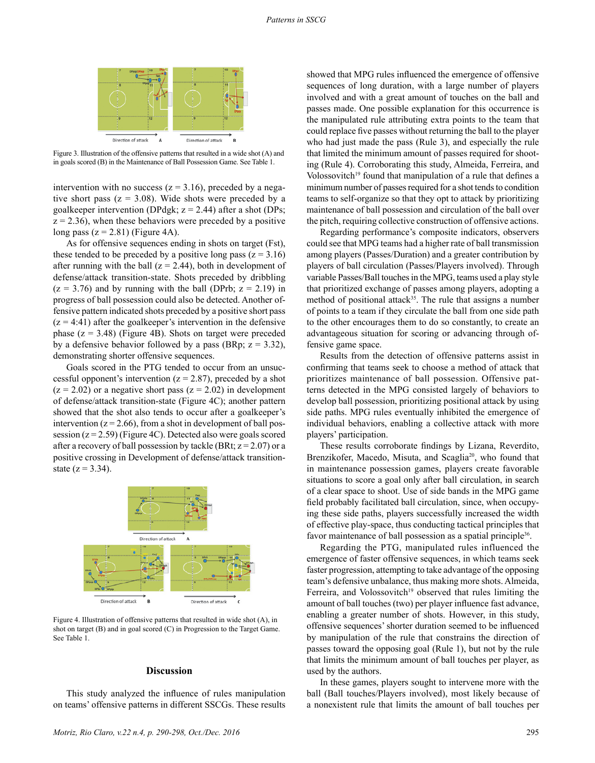

Figure 3. Illustration of the offensive patterns that resulted in a wide shot (A) and in goals scored (B) in the Maintenance of Ball Possession Game. See Table 1.

intervention with no success ( $z = 3.16$ ), preceded by a negative short pass  $(z = 3.08)$ . Wide shots were preceded by a goalkeeper intervention (DPdgk;  $z = 2.44$ ) after a shot (DPs;  $z = 2.36$ , when these behaviors were preceded by a positive long pass  $(z = 2.81)$  (Figure 4A).

As for offensive sequences ending in shots on target (Fst), these tended to be preceded by a positive long pass ( $z = 3.16$ ) after running with the ball  $(z = 2.44)$ , both in development of defense/attack transition-state. Shots preceded by dribbling  $(z = 3.76)$  and by running with the ball (DPrb;  $z = 2.19$ ) in progress of ball possession could also be detected. Another offensive pattern indicated shots preceded by a positive short pass  $(z = 4:41)$  after the goalkeeper's intervention in the defensive phase  $(z = 3.48)$  (Figure 4B). Shots on target were preceded by a defensive behavior followed by a pass (BRp;  $z = 3.32$ ), demonstrating shorter offensive sequences.

Goals scored in the PTG tended to occur from an unsuccessful opponent's intervention ( $z = 2.87$ ), preceded by a shot  $(z = 2.02)$  or a negative short pass  $(z = 2.02)$  in development of defense/attack transition-state (Figure 4C); another pattern showed that the shot also tends to occur after a goalkeeper's intervention  $(z = 2.66)$ , from a shot in development of ball possession  $(z = 2.59)$  (Figure 4C). Detected also were goals scored after a recovery of ball possession by tackle (BRt;  $z = 2.07$ ) or a positive crossing in Development of defense/attack transitionstate  $(z = 3.34)$ .



Figure 4. Illustration of offensive patterns that resulted in wide shot (A), in shot on target (B) and in goal scored (C) in Progression to the Target Game. See Table 1.

#### **Discussion**

This study analyzed the influence of rules manipulation on teams' offensive patterns in different SSCGs. These results

showed that MPG rules influenced the emergence of offensive sequences of long duration, with a large number of players involved and with a great amount of touches on the ball and passes made. One possible explanation for this occurrence is the manipulated rule attributing extra points to the team that could replace five passes without returning the ball to the player who had just made the pass (Rule 3), and especially the rule that limited the minimum amount of passes required for shooting (Rule 4). Corroborating this study, Almeida, Ferreira, and Volossovitch<sup>19</sup> found that manipulation of a rule that defines a minimum number of passes required for a shot tends to condition teams to self-organize so that they opt to attack by prioritizing maintenance of ball possession and circulation of the ball over the pitch, requiring collective construction of offensive actions.

Regarding performance's composite indicators, observers could see that MPG teams had a higher rate of ball transmission among players (Passes/Duration) and a greater contribution by players of ball circulation (Passes/Players involved). Through variable Passes/Ball touches in the MPG, teams used a play style that prioritized exchange of passes among players, adopting a method of positional attack<sup>35</sup>. The rule that assigns a number of points to a team if they circulate the ball from one side path to the other encourages them to do so constantly, to create an advantageous situation for scoring or advancing through offensive game space.

Results from the detection of offensive patterns assist in confirming that teams seek to choose a method of attack that prioritizes maintenance of ball possession. Offensive patterns detected in the MPG consisted largely of behaviors to develop ball possession, prioritizing positional attack by using side paths. MPG rules eventually inhibited the emergence of individual behaviors, enabling a collective attack with more players' participation.

These results corroborate findings by Lizana, Reverdito, Brenzikofer, Macedo, Misuta, and Scaglia<sup>20</sup>, who found that in maintenance possession games, players create favorable situations to score a goal only after ball circulation, in search of a clear space to shoot. Use of side bands in the MPG game field probably facilitated ball circulation, since, when occupying these side paths, players successfully increased the width of effective play-space, thus conducting tactical principles that favor maintenance of ball possession as a spatial principle<sup>36</sup>.

Regarding the PTG, manipulated rules influenced the emergence of faster offensive sequences, in which teams seek faster progression, attempting to take advantage of the opposing team's defensive unbalance, thus making more shots. Almeida, Ferreira, and Volossovitch<sup>19</sup> observed that rules limiting the amount of ball touches (two) per player influence fast advance, enabling a greater number of shots. However, in this study, offensive sequences' shorter duration seemed to be influenced by manipulation of the rule that constrains the direction of passes toward the opposing goal (Rule 1), but not by the rule that limits the minimum amount of ball touches per player, as used by the authors.

In these games, players sought to intervene more with the ball (Ball touches/Players involved), most likely because of a nonexistent rule that limits the amount of ball touches per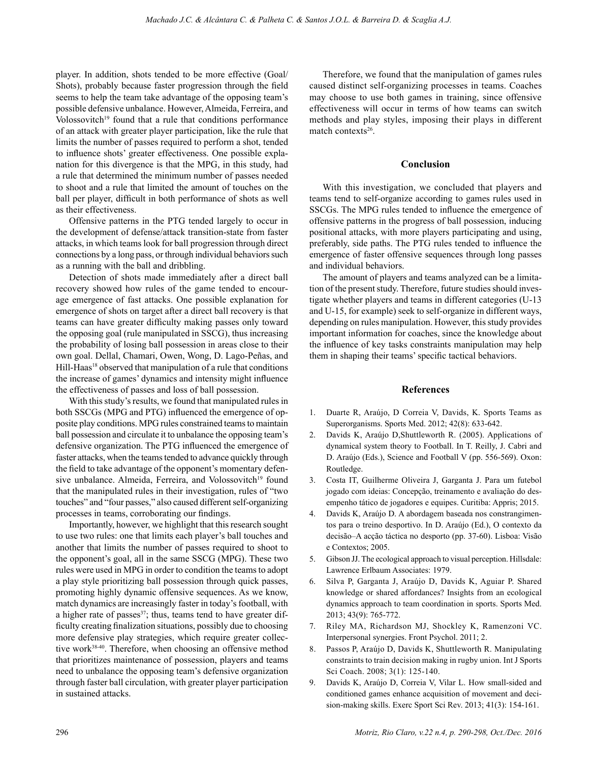player. In addition, shots tended to be more effective (Goal/ Shots), probably because faster progression through the field seems to help the team take advantage of the opposing team's possible defensive unbalance. However, Almeida, Ferreira, and Volossovitch<sup>19</sup> found that a rule that conditions performance of an attack with greater player participation, like the rule that limits the number of passes required to perform a shot, tended to influence shots' greater effectiveness. One possible explanation for this divergence is that the MPG, in this study, had a rule that determined the minimum number of passes needed to shoot and a rule that limited the amount of touches on the ball per player, difficult in both performance of shots as well as their effectiveness.

Offensive patterns in the PTG tended largely to occur in the development of defense/attack transition-state from faster attacks, in which teams look for ball progression through direct connections by a long pass, or through individual behaviors such as a running with the ball and dribbling.

Detection of shots made immediately after a direct ball recovery showed how rules of the game tended to encourage emergence of fast attacks. One possible explanation for emergence of shots on target after a direct ball recovery is that teams can have greater difficulty making passes only toward the opposing goal (rule manipulated in SSCG), thus increasing the probability of losing ball possession in areas close to their own goal. Dellal, Chamari, Owen, Wong, D. Lago-Peñas, and Hill-Haas<sup>18</sup> observed that manipulation of a rule that conditions the increase of games' dynamics and intensity might influence the effectiveness of passes and loss of ball possession.

With this study's results, we found that manipulated rules in both SSCGs (MPG and PTG) influenced the emergence of opposite play conditions. MPG rules constrained teams to maintain ball possession and circulate it to unbalance the opposing team's defensive organization. The PTG influenced the emergence of faster attacks, when the teams tended to advance quickly through the field to take advantage of the opponent's momentary defensive unbalance. Almeida, Ferreira, and Volossovitch<sup>19</sup> found that the manipulated rules in their investigation, rules of "two touches" and "four passes," also caused different self-organizing processes in teams, corroborating our findings.

Importantly, however, we highlight that this research sought to use two rules: one that limits each player's ball touches and another that limits the number of passes required to shoot to the opponent's goal, all in the same SSCG (MPG). These two rules were used in MPG in order to condition the teams to adopt a play style prioritizing ball possession through quick passes, promoting highly dynamic offensive sequences. As we know, match dynamics are increasingly faster in today's football, with a higher rate of passes $37$ ; thus, teams tend to have greater difficulty creating finalization situations, possibly due to choosing more defensive play strategies, which require greater collective work38-40. Therefore, when choosing an offensive method that prioritizes maintenance of possession, players and teams need to unbalance the opposing team's defensive organization through faster ball circulation, with greater player participation in sustained attacks.

Therefore, we found that the manipulation of games rules caused distinct self-organizing processes in teams. Coaches may choose to use both games in training, since offensive effectiveness will occur in terms of how teams can switch methods and play styles, imposing their plays in different match contexts<sup>26</sup>.

#### **Conclusion**

With this investigation, we concluded that players and teams tend to self-organize according to games rules used in SSCGs. The MPG rules tended to influence the emergence of offensive patterns in the progress of ball possession, inducing positional attacks, with more players participating and using, preferably, side paths. The PTG rules tended to influence the emergence of faster offensive sequences through long passes and individual behaviors.

The amount of players and teams analyzed can be a limitation of the present study. Therefore, future studies should investigate whether players and teams in different categories (U-13 and U-15, for example) seek to self-organize in different ways, depending on rules manipulation. However, this study provides important information for coaches, since the knowledge about the influence of key tasks constraints manipulation may help them in shaping their teams' specific tactical behaviors.

## **References**

- 1. Duarte R, Araújo, D Correia V, Davids, K. Sports Teams as Superorganisms. Sports Med. 2012; 42(8): 633-642.
- 2. Davids K, Araújo D,Shuttleworth R. (2005). Applications of dynamical system theory to Football. In T. Reilly, J. Cabri and D. Araújo (Eds.), Science and Football V (pp. 556-569). Oxon: Routledge.
- 3. Costa IT, Guilherme Oliveira J, Garganta J. Para um futebol jogado com ideias: Concepção, treinamento e avaliação do desempenho tático de jogadores e equipes. Curitiba: Appris; 2015.
- 4. Davids K, Araújo D. A abordagem baseada nos constrangimentos para o treino desportivo. In D. Araújo (Ed.), O contexto da decisão–A acção táctica no desporto (pp. 37-60). Lisboa: Visão e Contextos; 2005.
- 5. Gibson JJ. The ecological approach to visual perception. Hillsdale: Lawrence Erlbaum Associates: 1979.
- 6. Silva P, Garganta J, Araújo D, Davids K, Aguiar P. Shared knowledge or shared affordances? Insights from an ecological dynamics approach to team coordination in sports. Sports Med. 2013; 43(9): 765-772.
- 7. Riley MA, Richardson MJ, Shockley K, Ramenzoni VC. Interpersonal synergies. Front Psychol. 2011; 2.
- 8. Passos P, Araújo D, Davids K, Shuttleworth R. Manipulating constraints to train decision making in rugby union. Int J Sports Sci Coach. 2008; 3(1): 125-140.
- 9. Davids K, Araújo D, Correia V, Vilar L. How small-sided and conditioned games enhance acquisition of movement and decision-making skills. Exerc Sport Sci Rev. 2013; 41(3): 154-161.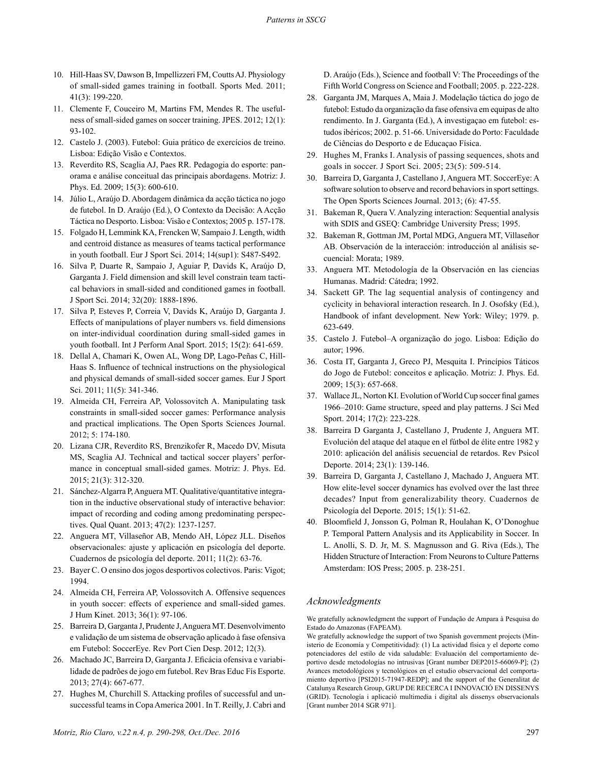- 10. Hill-Haas SV, Dawson B, Impellizzeri FM, Coutts AJ. Physiology of small-sided games training in football. Sports Med. 2011; 41(3): 199-220.
- 11. Clemente F, Couceiro M, Martins FM, Mendes R. The usefulness of small-sided games on soccer training. JPES. 2012; 12(1): 93-102.
- 12. Castelo J. (2003). Futebol: Guia prático de exercícios de treino. Lisboa: Edição Visão e Contextos.
- 13. Reverdito RS, Scaglia AJ, Paes RR. Pedagogia do esporte: panorama e análise conceitual das principais abordagens. Motriz: J. Phys. Ed. 2009; 15(3): 600-610.
- 14. Júlio L, Araújo D. Abordagem dinâmica da acção táctica no jogo de futebol. In D. Araújo (Ed.), O Contexto da Decisão: A Acção Táctica no Desporto. Lisboa: Visão e Contextos; 2005 p. 157-178.
- 15. Folgado H, Lemmink KA, Frencken W, Sampaio J. Length, width and centroid distance as measures of teams tactical performance in youth football. Eur J Sport Sci. 2014; 14(sup1): S487-S492.
- 16. Silva P, Duarte R, Sampaio J, Aguiar P, Davids K, Araújo D, Garganta J. Field dimension and skill level constrain team tactical behaviors in small-sided and conditioned games in football. J Sport Sci. 2014; 32(20): 1888-1896.
- 17. Silva P, Esteves P, Correia V, Davids K, Araújo D, Garganta J. Effects of manipulations of player numbers vs. field dimensions on inter-individual coordination during small-sided games in youth football. Int J Perform Anal Sport. 2015; 15(2): 641-659.
- 18. Dellal A, Chamari K, Owen AL, Wong DP, Lago-Peñas C, Hill-Haas S. Influence of technical instructions on the physiological and physical demands of small-sided soccer games. Eur J Sport Sci. 2011; 11(5): 341-346.
- 19. Almeida CH, Ferreira AP, Volossovitch A. Manipulating task constraints in small-sided soccer games: Performance analysis and practical implications. The Open Sports Sciences Journal. 2012; 5: 174-180.
- 20. Lizana CJR, Reverdito RS, Brenzikofer R, Macedo DV, Misuta MS, Scaglia AJ. Technical and tactical soccer players' performance in conceptual small-sided games. Motriz: J. Phys. Ed. 2015; 21(3): 312-320.
- 21. Sánchez-Algarra P, Anguera MT. Qualitative/quantitative integration in the inductive observational study of interactive behavior: impact of recording and coding among predominating perspectives. Qual Quant. 2013; 47(2): 1237-1257.
- 22. Anguera MT, Villaseñor AB, Mendo AH, López JLL. Diseños observacionales: ajuste y aplicación en psicología del deporte. Cuadernos de psicología del deporte. 2011; 11(2): 63-76.
- 23. Bayer C. O ensino dos jogos desportivos colectivos. Paris: Vigot; 1994.
- 24. Almeida CH, Ferreira AP, Volossovitch A. Offensive sequences in youth soccer: effects of experience and small-sided games. J Hum Kinet. 2013; 36(1): 97-106.
- 25. Barreira D, Garganta J, Prudente J, Anguera MT. Desenvolvimento e validação de um sistema de observação aplicado à fase ofensiva em Futebol: SoccerEye. Rev Port Cien Desp. 2012; 12(3).
- 26. Machado JC, Barreira D, Garganta J. Eficácia ofensiva e variabilidade de padrões de jogo em futebol. Rev Bras Educ Fís Esporte. 2013; 27(4): 667-677.
- 27. Hughes M, Churchill S. Attacking profiles of successful and unsuccessful teams in Copa America 2001. In T. Reilly, J. Cabri and

D. Araújo (Eds.), Science and football V: The Proceedings of the Fifth World Congress on Science and Football; 2005. p. 222-228.

- 28. Garganta JM, Marques A, Maia J. Modelação táctica do jogo de futebol: Estudo da organização da fase ofensiva em equipas de alto rendimento. In J. Garganta (Ed.), A investigaçao em futebol: estudos ibéricos; 2002. p. 51-66. Universidade do Porto: Faculdade de Ciências do Desporto e de Educaçao Física.
- 29. Hughes M, Franks I. Analysis of passing sequences, shots and goals in soccer. J Sport Sci. 2005; 23(5): 509-514.
- 30. Barreira D, Garganta J, Castellano J, Anguera MT. SoccerEye: A software solution to observe and record behaviors in sport settings. The Open Sports Sciences Journal. 2013; (6): 47-55.
- 31. Bakeman R, Quera V. Analyzing interaction: Sequential analysis with SDIS and GSEQ: Cambridge University Press; 1995.
- 32. Bakeman R, Gottman JM, Portal MDG, Anguera MT, Villaseñor AB. Observación de la interacción: introducción al análisis secuencial: Morata; 1989.
- 33. Anguera MT. Metodología de la Observación en las ciencias Humanas. Madrid: Cátedra; 1992.
- 34. Sackett GP. The lag sequential analysis of contingency and cyclicity in behavioral interaction research. In J. Osofsky (Ed.), Handbook of infant development. New York: Wiley; 1979. p. 623-649.
- 35. Castelo J. Futebol–A organização do jogo. Lisboa: Edição do autor; 1996.
- 36. Costa IT, Garganta J, Greco PJ, Mesquita I. Princípios Táticos do Jogo de Futebol: conceitos e aplicação. Motriz: J. Phys. Ed. 2009; 15(3): 657-668.
- 37. Wallace JL, Norton KI. Evolution of World Cup soccer final games 1966–2010: Game structure, speed and play patterns. J Sci Med Sport. 2014; 17(2): 223-228.
- 38. Barreira D Garganta J, Castellano J, Prudente J, Anguera MT. Evolución del ataque del ataque en el fútbol de élite entre 1982 y 2010: aplicación del análisis secuencial de retardos. Rev Psicol Deporte. 2014; 23(1): 139-146.
- 39. Barreira D, Garganta J, Castellano J, Machado J, Anguera MT. How elite-level soccer dynamics has evolved over the last three decades? Input from generalizability theory. Cuadernos de Psicología del Deporte. 2015; 15(1): 51-62.
- 40. Bloomfield J, Jonsson G, Polman R, Houlahan K, O'Donoghue P. Temporal Pattern Analysis and its Applicability in Soccer. In L. Anolli, S. D. Jr, M. S. Magnusson and G. Riva (Eds.), The Hidden Structure of Interaction: From Neurons to Culture Patterns Amsterdam: IOS Press; 2005. p. 238-251.

## *Acknowledgments*

We gratefully acknowledgment the support of Fundação de Ampara à Pesquisa do Estado do Amazonas (FAPEAM).

We gratefully acknowledge the support of two Spanish government projects (Ministerio de Economía y Competitividad): (1) La actividad física y el deporte como potenciadores del estilo de vida saludable: Evaluación del comportamiento deportivo desde metodologías no intrusivas [Grant number DEP2015-66069-P]; (2) Avances metodológicos y tecnológicos en el estudio observacional del comportamiento deportivo [PSI2015-71947-REDP]; and the support of the Generalitat de Catalunya Research Group, GRUP DE RECERCA I INNOVACIÓ EN DISSENYS (GRID). Tecnología i aplicació multimedia i digital als dissenys observacionals [Grant number 2014 SGR 971].